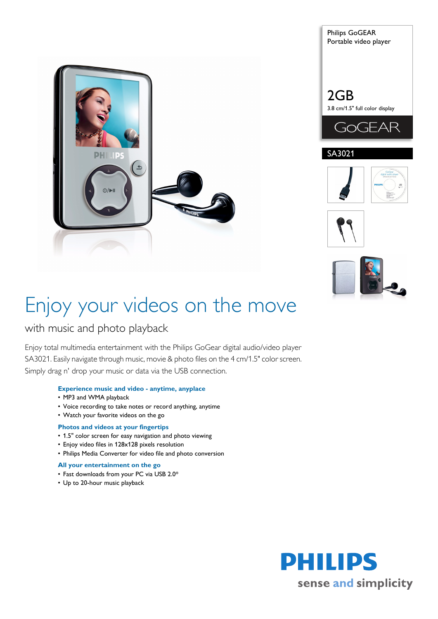









# Enjoy your videos on the move

# with music and photo playback

Enjoy total multimedia entertainment with the Philips GoGear digital audio/video player SA3021. Easily navigate through music, movie & photo files on the 4 cm/1.5" color screen. Simply drag n' drop your music or data via the USB connection.

# **Experience music and video - anytime, anyplace**

- MP3 and WMA playback
- Voice recording to take notes or record anything, anytime
- Watch your favorite videos on the go

# **Photos and videos at your fingertips**

- 1.5" color screen for easy navigation and photo viewing
- Enjoy video files in 128x128 pixels resolution
- Philips Media Converter for video file and photo conversion

# **All your entertainment on the go**

- Fast downloads from your PC via USB 2.0\*
- Up to 20-hour music playback